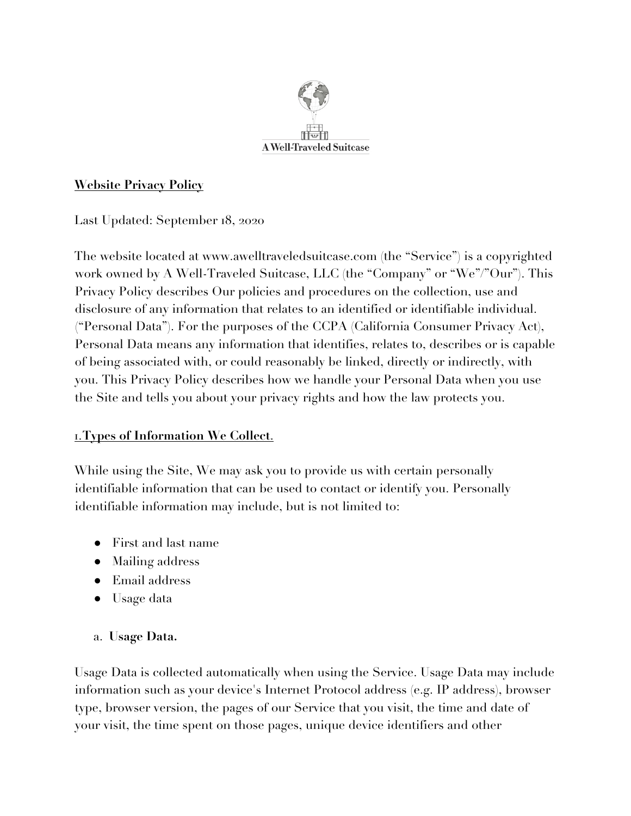

## **Website Privacy Policy**

Last Updated: September 18, 2020

The website located at www.awelltraveledsuitcase.com (the "Service") is a copyrighted work owned by A Well-Traveled Suitcase, LLC (the "Company" or "We"/"Our"). This Privacy Policy describes Our policies and procedures on the collection, use and disclosure of any information that relates to an identified or identifiable individual. ("Personal Data"). For the purposes of the CCPA (California Consumer Privacy Act), Personal Data means any information that identifies, relates to, describes or is capable of being associated with, or could reasonably be linked, directly or indirectly, with you. This Privacy Policy describes how we handle your Personal Data when you use the Site and tells you about your privacy rights and how the law protects you.

## 1.**Types of Information We Collect**.

While using the Site, We may ask you to provide us with certain personally identifiable information that can be used to contact or identify you. Personally identifiable information may include, but is not limited to:

- First and last name
- Mailing address
- Email address
- Usage data

## a. **Usage Data.**

Usage Data is collected automatically when using the Service. Usage Data may include information such as your device's Internet Protocol address (e.g. IP address), browser type, browser version, the pages of our Service that you visit, the time and date of your visit, the time spent on those pages, unique device identifiers and other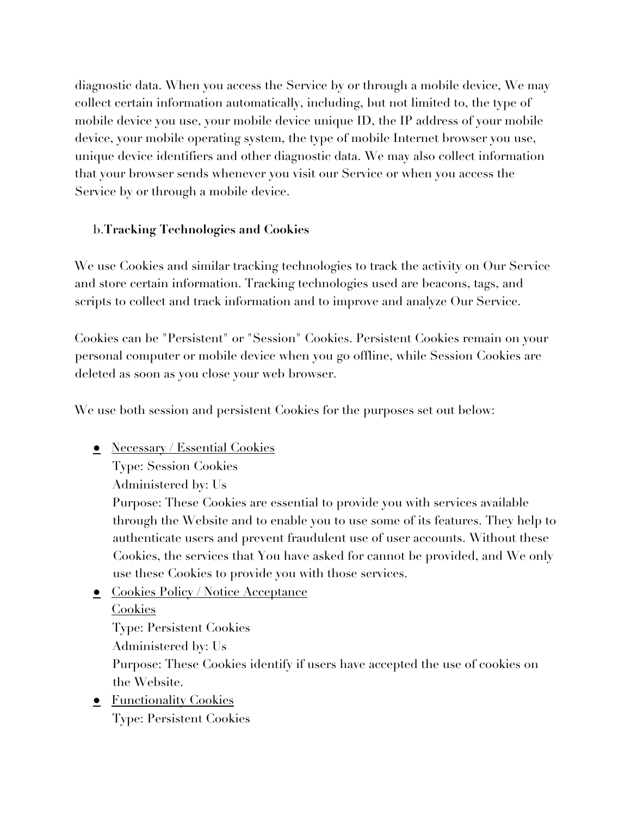diagnostic data. When you access the Service by or through a mobile device, We may collect certain information automatically, including, but not limited to, the type of mobile device you use, your mobile device unique ID, the IP address of your mobile device, your mobile operating system, the type of mobile Internet browser you use, unique device identifiers and other diagnostic data. We may also collect information that your browser sends whenever you visit our Service or when you access the Service by or through a mobile device.

## b.**Tracking Technologies and Cookies**

We use Cookies and similar tracking technologies to track the activity on Our Service and store certain information. Tracking technologies used are beacons, tags, and scripts to collect and track information and to improve and analyze Our Service.

Cookies can be "Persistent" or "Session" Cookies. Persistent Cookies remain on your personal computer or mobile device when you go offline, while Session Cookies are deleted as soon as you close your web browser.

We use both session and persistent Cookies for the purposes set out below:

● Necessary / Essential Cookies

Type: Session Cookies

Administered by: Us

Purpose: These Cookies are essential to provide you with services available through the Website and to enable you to use some of its features. They help to authenticate users and prevent fraudulent use of user accounts. Without these Cookies, the services that You have asked for cannot be provided, and We only use these Cookies to provide you with those services.

• Cookies Policy / Notice Acceptance

Cookies

Type: Persistent Cookies

Administered by: Us

Purpose: These Cookies identify if users have accepted the use of cookies on the Website.

• Functionality Cookies Type: Persistent Cookies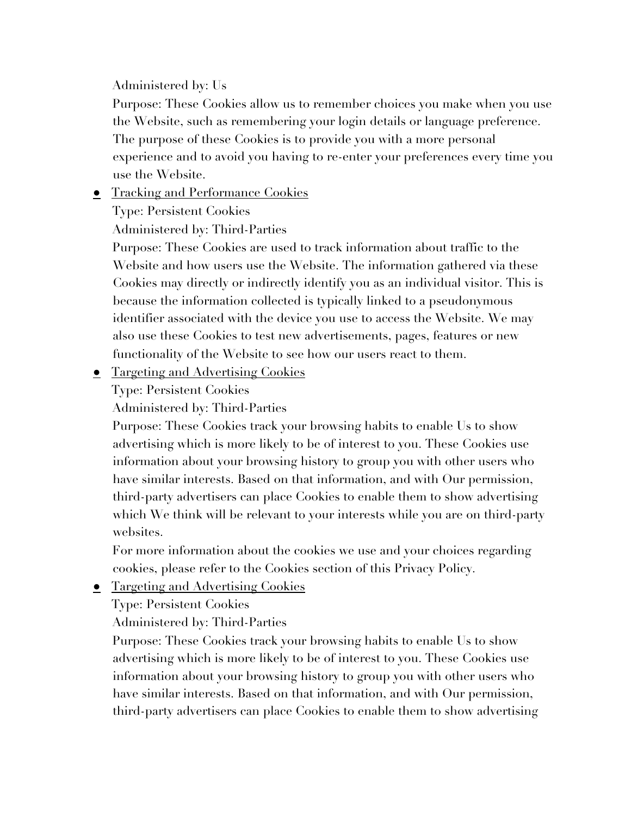Administered by: Us

Purpose: These Cookies allow us to remember choices you make when you use the Website, such as remembering your login details or language preference. The purpose of these Cookies is to provide you with a more personal experience and to avoid you having to re-enter your preferences every time you use the Website.

● Tracking and Performance Cookies

Type: Persistent Cookies

Administered by: Third-Parties

Purpose: These Cookies are used to track information about traffic to the Website and how users use the Website. The information gathered via these Cookies may directly or indirectly identify you as an individual visitor. This is because the information collected is typically linked to a pseudonymous identifier associated with the device you use to access the Website. We may also use these Cookies to test new advertisements, pages, features or new functionality of the Website to see how our users react to them.

• Targeting and Advertising Cookies

Type: Persistent Cookies

Administered by: Third-Parties

Purpose: These Cookies track your browsing habits to enable Us to show advertising which is more likely to be of interest to you. These Cookies use information about your browsing history to group you with other users who have similar interests. Based on that information, and with Our permission, third-party advertisers can place Cookies to enable them to show advertising which We think will be relevant to your interests while you are on third-party websites.

For more information about the cookies we use and your choices regarding cookies, please refer to the Cookies section of this Privacy Policy.

**•** Targeting and Advertising Cookies

Type: Persistent Cookies

Administered by: Third-Parties

Purpose: These Cookies track your browsing habits to enable Us to show advertising which is more likely to be of interest to you. These Cookies use information about your browsing history to group you with other users who have similar interests. Based on that information, and with Our permission, third-party advertisers can place Cookies to enable them to show advertising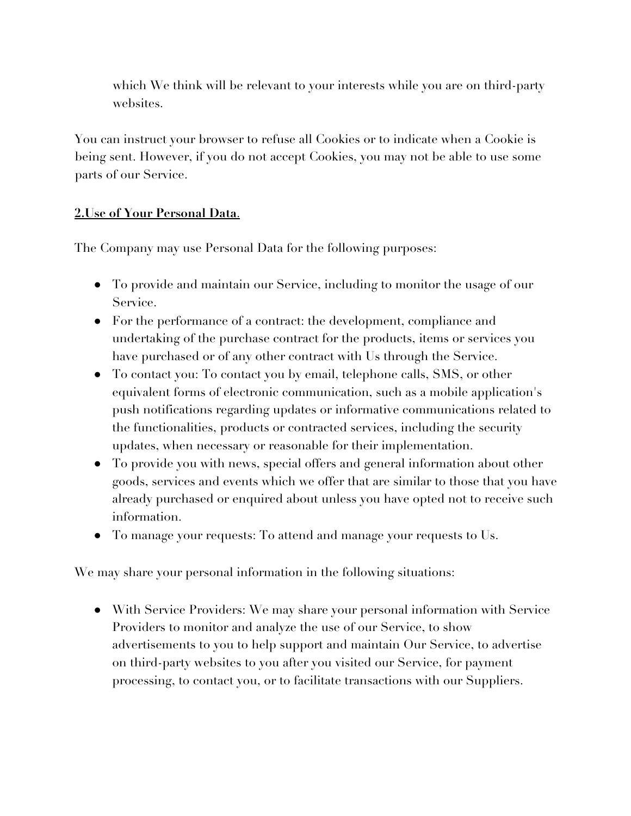which We think will be relevant to your interests while you are on third-party websites.

You can instruct your browser to refuse all Cookies or to indicate when a Cookie is being sent. However, if you do not accept Cookies, you may not be able to use some parts of our Service.

### **2.Use of Your Personal Data**.

The Company may use Personal Data for the following purposes:

- To provide and maintain our Service, including to monitor the usage of our Service.
- For the performance of a contract: the development, compliance and undertaking of the purchase contract for the products, items or services you have purchased or of any other contract with Us through the Service.
- To contact you: To contact you by email, telephone calls, SMS, or other equivalent forms of electronic communication, such as a mobile application's push notifications regarding updates or informative communications related to the functionalities, products or contracted services, including the security updates, when necessary or reasonable for their implementation.
- To provide you with news, special offers and general information about other goods, services and events which we offer that are similar to those that you have already purchased or enquired about unless you have opted not to receive such information.
- To manage your requests: To attend and manage your requests to Us.

We may share your personal information in the following situations:

● With Service Providers: We may share your personal information with Service Providers to monitor and analyze the use of our Service, to show advertisements to you to help support and maintain Our Service, to advertise on third-party websites to you after you visited our Service, for payment processing, to contact you, or to facilitate transactions with our Suppliers.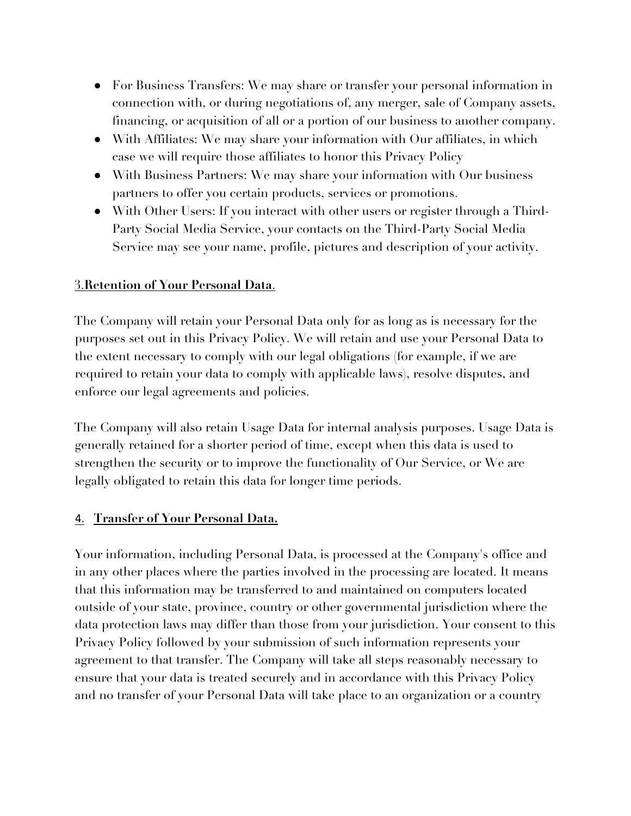- For Business Transfers: We may share or transfer your personal information in connection with, or during negotiations of, any merger, sale of Company assets, financing, or acquisition of all or a portion of our business to another company.
- With Affiliates: We may share your information with Our affiliates, in which case we will require those affiliates to honor this Privacy Policy
- With Business Partners: We may share your information with Our business partners to offer you certain products, services or promotions.
- With Other Users: If you interact with other users or register through a Third-Party Social Media Service, your contacts on the Third-Party Social Media Service may see your name, profile, pictures and description of your activity.

### 3.**Retention of Your Personal Data**.

The Company will retain your Personal Data only for as long as is necessary for the purposes set out in this Privacy Policy. We will retain and use your Personal Data to the extent necessary to comply with our legal obligations (for example, if we are required to retain your data to comply with applicable laws), resolve disputes, and enforce our legal agreements and policies.

The Company will also retain Usage Data for internal analysis purposes. Usage Data is generally retained for a shorter period of time, except when this data is used to strengthen the security or to improve the functionality of Our Service, or We are legally obligated to retain this data for longer time periods.

### 4. **Transfer of Your Personal Data.**

Your information, including Personal Data, is processed at the Company's office and in any other places where the parties involved in the processing are located. It means that this information may be transferred to and maintained on computers located outside of your state, province, country or other governmental jurisdiction where the data protection laws may differ than those from your jurisdiction. Your consent to this Privacy Policy followed by your submission of such information represents your agreement to that transfer. The Company will take all steps reasonably necessary to ensure that your data is treated securely and in accordance with this Privacy Policy and no transfer of your Personal Data will take place to an organization or a country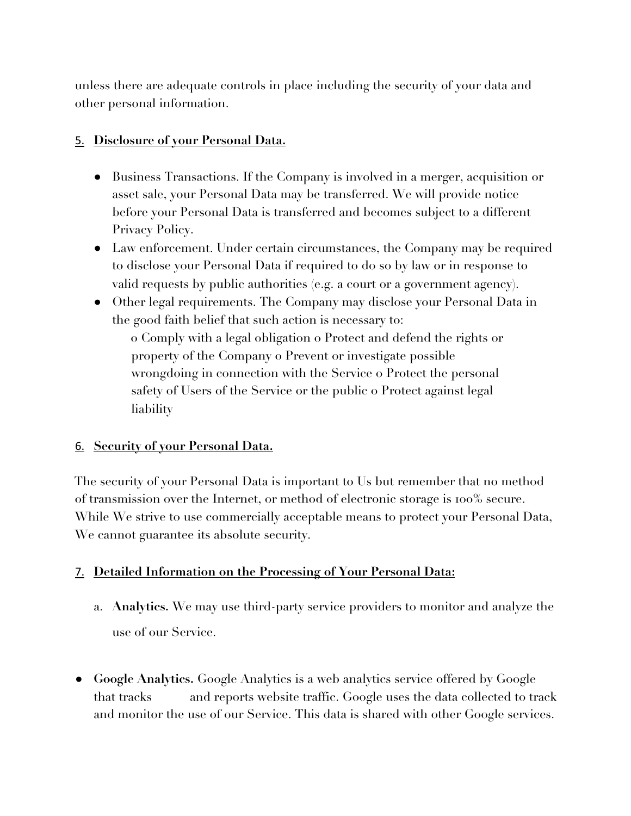unless there are adequate controls in place including the security of your data and other personal information.

### 5. **Disclosure of your Personal Data.**

- Business Transactions. If the Company is involved in a merger, acquisition or asset sale, your Personal Data may be transferred. We will provide notice before your Personal Data is transferred and becomes subject to a different Privacy Policy.
- Law enforcement. Under certain circumstances, the Company may be required to disclose your Personal Data if required to do so by law or in response to valid requests by public authorities (e.g. a court or a government agency).
- Other legal requirements. The Company may disclose your Personal Data in the good faith belief that such action is necessary to:

o Comply with a legal obligation o Protect and defend the rights or property of the Company o Prevent or investigate possible wrongdoing in connection with the Service o Protect the personal safety of Users of the Service or the public o Protect against legal liability

### 6. **Security of your Personal Data.**

The security of your Personal Data is important to Us but remember that no method of transmission over the Internet, or method of electronic storage is 100% secure. While We strive to use commercially acceptable means to protect your Personal Data, We cannot guarantee its absolute security.

## 7. **Detailed Information on the Processing of Your Personal Data:**

- a. **Analytics.** We may use third-party service providers to monitor and analyze the use of our Service.
- **Google Analytics.** Google Analytics is a web analytics service offered by Google that tracks and reports website traffic. Google uses the data collected to track and monitor the use of our Service. This data is shared with other Google services.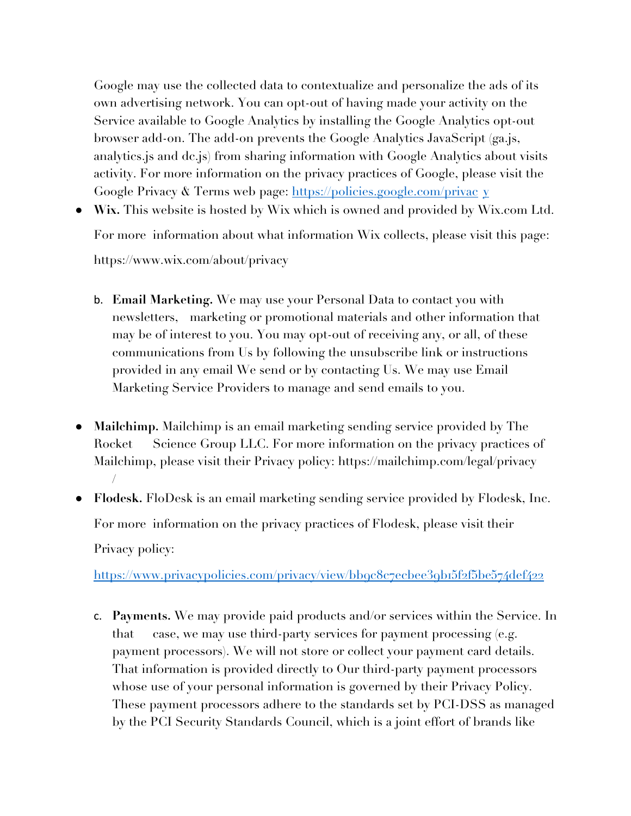Google may use the collected data to contextualize and personalize the ads of its own advertising network. You can opt-out of having made your activity on the Service available to Google Analytics by installing the Google Analytics opt-out browser add-on. The add-on prevents the Google Analytics JavaScript (ga.js, analytics.js and dc.js) from sharing information with Google Analytics about visits activity. For more information on the privacy practices of Google, please visit the Google Privacy & Terms web page: https://policies.google.com/privac y

- **Wix.** This website is hosted by Wix which is owned and provided by Wix.com Ltd. For more information about what information Wix collects, please visit this page: https://www.wix.com/about/privacy
	- b. **Email Marketing.** We may use your Personal Data to contact you with newsletters, marketing or promotional materials and other information that may be of interest to you. You may opt-out of receiving any, or all, of these communications from Us by following the unsubscribe link or instructions provided in any email We send or by contacting Us. We may use Email Marketing Service Providers to manage and send emails to you.
- **Mailchimp.** Mailchimp is an email marketing sending service provided by The Rocket Science Group LLC. For more information on the privacy practices of Mailchimp, please visit their Privacy policy: https://mailchimp.com/legal/privacy /
- **Flodesk.** FloDesk is an email marketing sending service provided by Flodesk, Inc. For more information on the privacy practices of Flodesk, please visit their Privacy policy:

https://www.privacypolicies.com/privacy/view/bb9c8c7ecbee39b15f2f5be574def422

c. **Payments.** We may provide paid products and/or services within the Service. In that case, we may use third-party services for payment processing (e.g. payment processors). We will not store or collect your payment card details. That information is provided directly to Our third-party payment processors whose use of your personal information is governed by their Privacy Policy. These payment processors adhere to the standards set by PCI-DSS as managed by the PCI Security Standards Council, which is a joint effort of brands like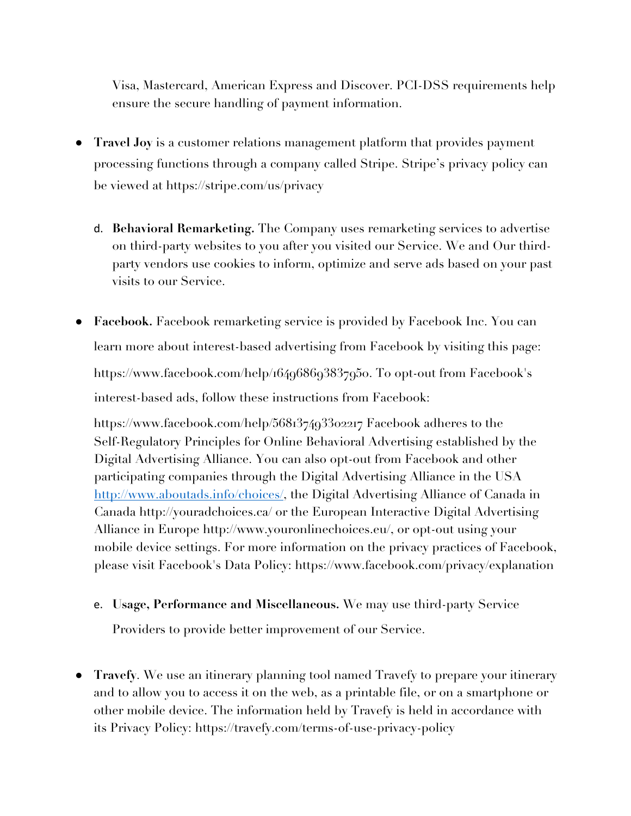Visa, Mastercard, American Express and Discover. PCI-DSS requirements help ensure the secure handling of payment information.

- **Travel Joy** is a customer relations management platform that provides payment processing functions through a company called Stripe. Stripe's privacy policy can be viewed at https://stripe.com/us/privacy
	- d. **Behavioral Remarketing.** The Company uses remarketing services to advertise on third-party websites to you after you visited our Service. We and Our thirdparty vendors use cookies to inform, optimize and serve ads based on your past visits to our Service.
- **Facebook.** Facebook remarketing service is provided by Facebook Inc. You can learn more about interest-based advertising from Facebook by visiting this page: https://www.facebook.com/help/164968693837950. To opt-out from Facebook's interest-based ads, follow these instructions from Facebook:

https://www.facebook.com/help/568137493302217 Facebook adheres to the Self-Regulatory Principles for Online Behavioral Advertising established by the Digital Advertising Alliance. You can also opt-out from Facebook and other participating companies through the Digital Advertising Alliance in the USA http://www.aboutads.info/choices/, the Digital Advertising Alliance of Canada in Canada http://youradchoices.ca/ or the European Interactive Digital Advertising Alliance in Europe http://www.youronlinechoices.eu/, or opt-out using your mobile device settings. For more information on the privacy practices of Facebook, please visit Facebook's Data Policy: https://www.facebook.com/privacy/explanation

e. **Usage, Performance and Miscellaneous.** We may use third-party Service

Providers to provide better improvement of our Service.

● **Travefy**. We use an itinerary planning tool named Travefy to prepare your itinerary and to allow you to access it on the web, as a printable file, or on a smartphone or other mobile device. The information held by Travefy is held in accordance with its Privacy Policy: https://travefy.com/terms-of-use-privacy-policy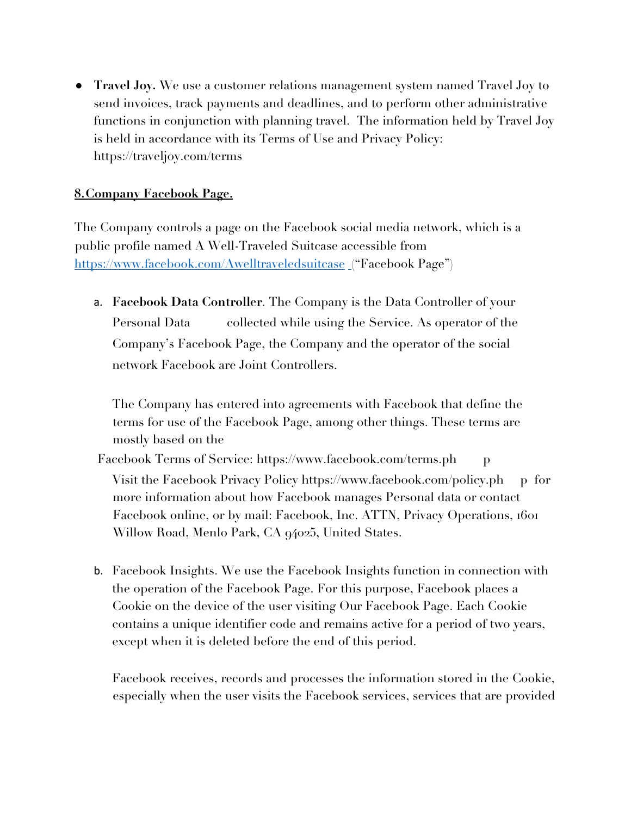● **Travel Joy.** We use a customer relations management system named Travel Joy to send invoices, track payments and deadlines, and to perform other administrative functions in conjunction with planning travel. The information held by Travel Joy is held in accordance with its Terms of Use and Privacy Policy: https://traveljoy.com/terms

### **8.Company Facebook Page.**

The Company controls a page on the Facebook social media network, which is a public profile named A Well-Traveled Suitcase accessible from https://www.facebook.com/Awelltraveledsuitcase ("Facebook Page")

a. **Facebook Data Controller**. The Company is the Data Controller of your Personal Data collected while using the Service. As operator of the Company's Facebook Page, the Company and the operator of the social network Facebook are Joint Controllers.

The Company has entered into agreements with Facebook that define the terms for use of the Facebook Page, among other things. These terms are mostly based on the

Facebook Terms of Service: https://www.facebook.com/terms.ph p Visit the Facebook Privacy Policy https://www.facebook.com/policy.ph p for more information about how Facebook manages Personal data or contact Facebook online, or by mail: Facebook, Inc. ATTN, Privacy Operations, 1601 Willow Road, Menlo Park, CA 94025, United States.

b. Facebook Insights. We use the Facebook Insights function in connection with the operation of the Facebook Page. For this purpose, Facebook places a Cookie on the device of the user visiting Our Facebook Page. Each Cookie contains a unique identifier code and remains active for a period of two years, except when it is deleted before the end of this period.

Facebook receives, records and processes the information stored in the Cookie, especially when the user visits the Facebook services, services that are provided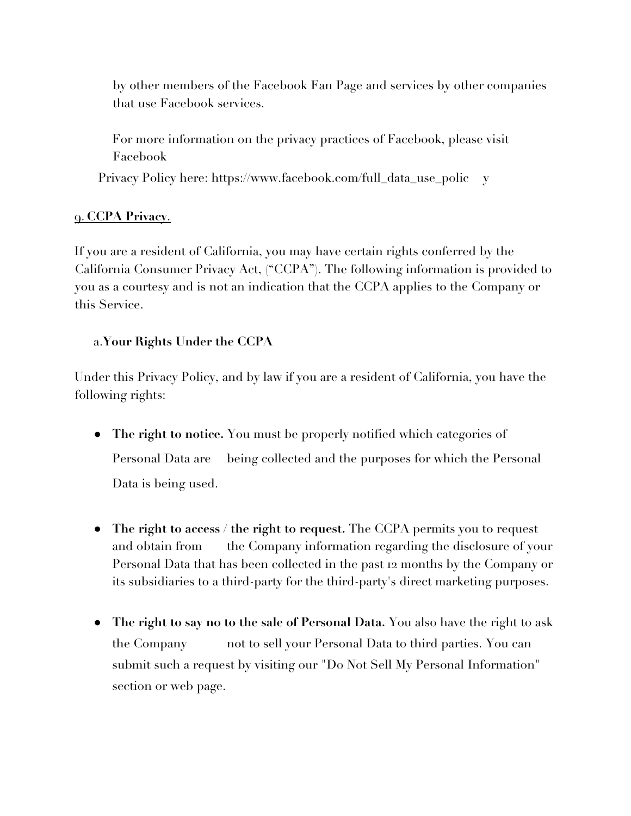by other members of the Facebook Fan Page and services by other companies that use Facebook services.

For more information on the privacy practices of Facebook, please visit Facebook

Privacy Policy here: https://www.facebook.com/full\_data\_use\_polic y

## 9. **CCPA Privacy**.

If you are a resident of California, you may have certain rights conferred by the California Consumer Privacy Act, ("CCPA"). The following information is provided to you as a courtesy and is not an indication that the CCPA applies to the Company or this Service.

## a.**Your Rights Under the CCPA**

Under this Privacy Policy, and by law if you are a resident of California, you have the following rights:

- **The right to notice.** You must be properly notified which categories of Personal Data are being collected and the purposes for which the Personal Data is being used.
- **The right to access / the right to request.** The CCPA permits you to request and obtain from the Company information regarding the disclosure of your Personal Data that has been collected in the past 12 months by the Company or its subsidiaries to a third-party for the third-party's direct marketing purposes.
- **The right to say no to the sale of Personal Data.** You also have the right to ask the Company not to sell your Personal Data to third parties. You can submit such a request by visiting our "Do Not Sell My Personal Information" section or web page.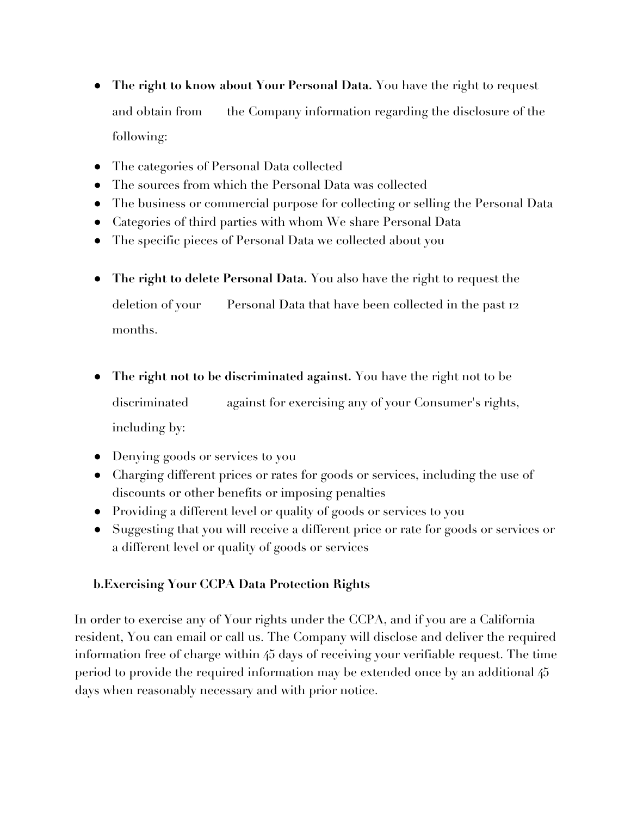- **The right to know about Your Personal Data.** You have the right to request and obtain from the Company information regarding the disclosure of the following:
- The categories of Personal Data collected
- The sources from which the Personal Data was collected
- The business or commercial purpose for collecting or selling the Personal Data
- Categories of third parties with whom We share Personal Data
- The specific pieces of Personal Data we collected about you
- **The right to delete Personal Data.** You also have the right to request the deletion of your Personal Data that have been collected in the past 12 months.
- **The right not to be discriminated against.** You have the right not to be discriminated against for exercising any of your Consumer's rights, including by:
- Denying goods or services to you
- Charging different prices or rates for goods or services, including the use of discounts or other benefits or imposing penalties
- Providing a different level or quality of goods or services to you
- Suggesting that you will receive a different price or rate for goods or services or a different level or quality of goods or services

## **b.Exercising Your CCPA Data Protection Rights**

In order to exercise any of Your rights under the CCPA, and if you are a California resident, You can email or call us. The Company will disclose and deliver the required information free of charge within 45 days of receiving your verifiable request. The time period to provide the required information may be extended once by an additional 45 days when reasonably necessary and with prior notice.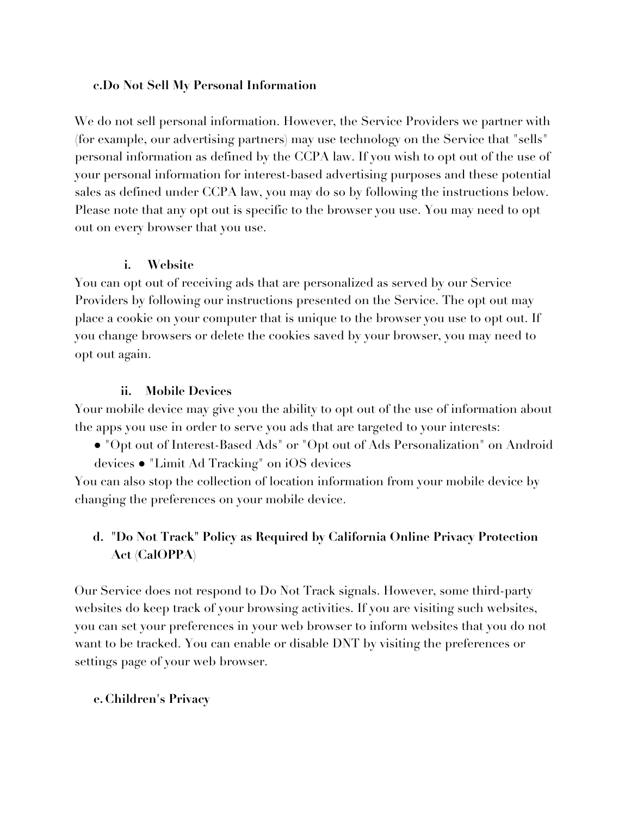### **c.Do Not Sell My Personal Information**

We do not sell personal information. However, the Service Providers we partner with (for example, our advertising partners) may use technology on the Service that "sells" personal information as defined by the CCPA law. If you wish to opt out of the use of your personal information for interest-based advertising purposes and these potential sales as defined under CCPA law, you may do so by following the instructions below. Please note that any opt out is specific to the browser you use. You may need to opt out on every browser that you use.

#### **i. Website**

You can opt out of receiving ads that are personalized as served by our Service Providers by following our instructions presented on the Service. The opt out may place a cookie on your computer that is unique to the browser you use to opt out. If you change browsers or delete the cookies saved by your browser, you may need to opt out again.

#### **ii. Mobile Devices**

Your mobile device may give you the ability to opt out of the use of information about the apps you use in order to serve you ads that are targeted to your interests:

● "Opt out of Interest-Based Ads" or "Opt out of Ads Personalization" on Android devices ● "Limit Ad Tracking" on iOS devices

You can also stop the collection of location information from your mobile device by changing the preferences on your mobile device.

## **d. "Do Not Track" Policy as Required by California Online Privacy Protection Act (CalOPPA)**

Our Service does not respond to Do Not Track signals. However, some third-party websites do keep track of your browsing activities. If you are visiting such websites, you can set your preferences in your web browser to inform websites that you do not want to be tracked. You can enable or disable DNT by visiting the preferences or settings page of your web browser.

### **e. Children's Privacy**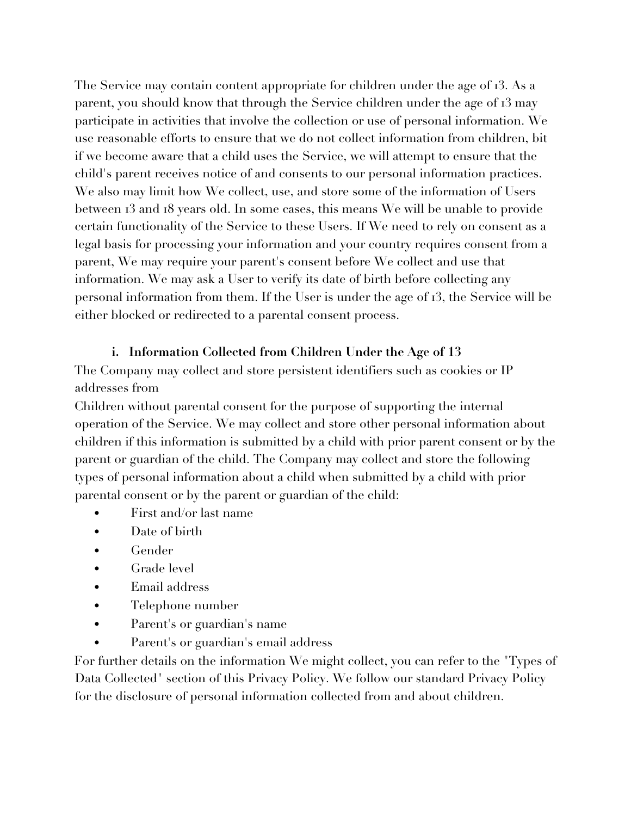The Service may contain content appropriate for children under the age of 13. As a parent, you should know that through the Service children under the age of 13 may participate in activities that involve the collection or use of personal information. We use reasonable efforts to ensure that we do not collect information from children, bit if we become aware that a child uses the Service, we will attempt to ensure that the child's parent receives notice of and consents to our personal information practices. We also may limit how We collect, use, and store some of the information of Users between 13 and 18 years old. In some cases, this means We will be unable to provide certain functionality of the Service to these Users. If We need to rely on consent as a legal basis for processing your information and your country requires consent from a parent, We may require your parent's consent before We collect and use that information. We may ask a User to verify its date of birth before collecting any personal information from them. If the User is under the age of 13, the Service will be either blocked or redirected to a parental consent process.

### **i. Information Collected from Children Under the Age of 13**

The Company may collect and store persistent identifiers such as cookies or IP addresses from

Children without parental consent for the purpose of supporting the internal operation of the Service. We may collect and store other personal information about children if this information is submitted by a child with prior parent consent or by the parent or guardian of the child. The Company may collect and store the following types of personal information about a child when submitted by a child with prior parental consent or by the parent or guardian of the child:

- First and/or last name
- Date of birth
- Gender
- Grade level
- Email address
- Telephone number
- Parent's or guardian's name
- Parent's or guardian's email address

For further details on the information We might collect, you can refer to the "Types of Data Collected" section of this Privacy Policy. We follow our standard Privacy Policy for the disclosure of personal information collected from and about children.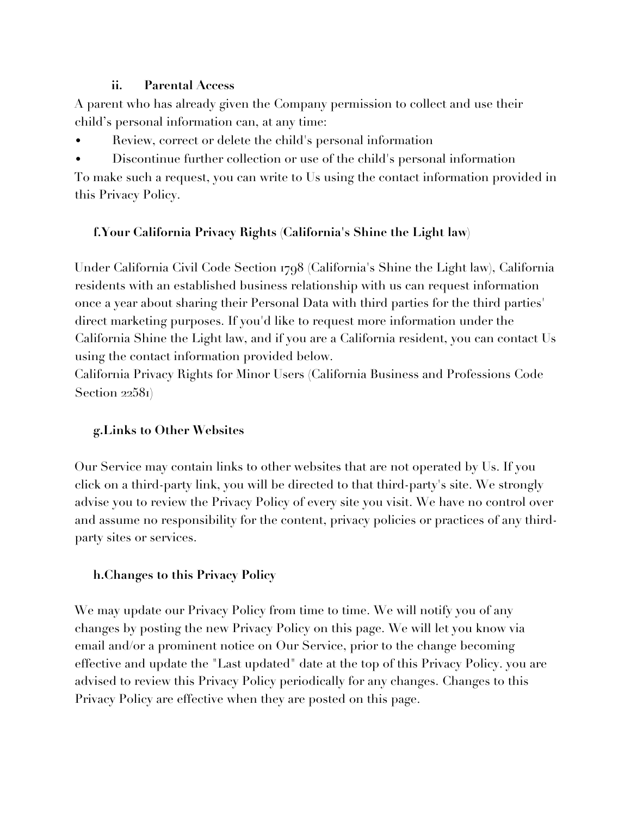## **ii. Parental Access**

A parent who has already given the Company permission to collect and use their child's personal information can, at any time:

- Review, correct or delete the child's personal information
- Discontinue further collection or use of the child's personal information

To make such a request, you can write to Us using the contact information provided in this Privacy Policy.

## **f.Your California Privacy Rights (California's Shine the Light law)**

Under California Civil Code Section 1798 (California's Shine the Light law), California residents with an established business relationship with us can request information once a year about sharing their Personal Data with third parties for the third parties' direct marketing purposes. If you'd like to request more information under the California Shine the Light law, and if you are a California resident, you can contact Us using the contact information provided below.

California Privacy Rights for Minor Users (California Business and Professions Code Section 22581)

## **g.Links to Other Websites**

Our Service may contain links to other websites that are not operated by Us. If you click on a third-party link, you will be directed to that third-party's site. We strongly advise you to review the Privacy Policy of every site you visit. We have no control over and assume no responsibility for the content, privacy policies or practices of any thirdparty sites or services.

## **h.Changes to this Privacy Policy**

We may update our Privacy Policy from time to time. We will notify you of any changes by posting the new Privacy Policy on this page. We will let you know via email and/or a prominent notice on Our Service, prior to the change becoming effective and update the "Last updated" date at the top of this Privacy Policy. you are advised to review this Privacy Policy periodically for any changes. Changes to this Privacy Policy are effective when they are posted on this page.